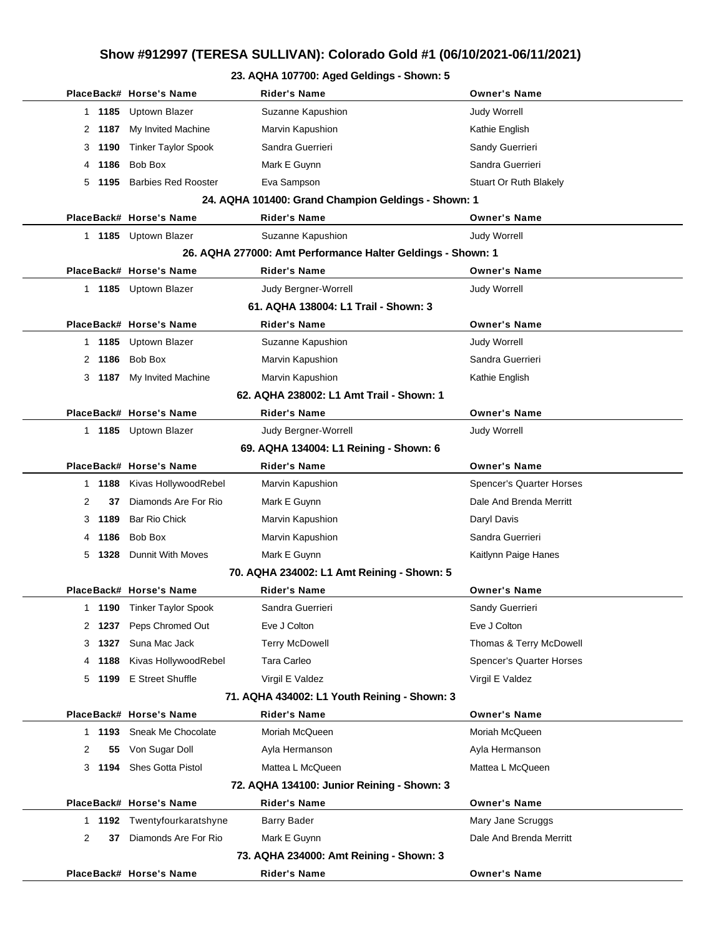## **Show #912997 (TERESA SULLIVAN): Colorado Gold #1 (06/10/2021-06/11/2021)**

#### **23. AQHA 107700: Aged Geldings - Shown: 5**

|                                                             |                                              | PlaceBack# Horse's Name         | Rider's Name                               | <b>Owner's Name</b>      |  |  |  |  |  |  |
|-------------------------------------------------------------|----------------------------------------------|---------------------------------|--------------------------------------------|--------------------------|--|--|--|--|--|--|
|                                                             | 1 1185                                       | <b>Uptown Blazer</b>            | Suzanne Kapushion                          | <b>Judy Worrell</b>      |  |  |  |  |  |  |
|                                                             |                                              | 2 1187 My Invited Machine       | Marvin Kapushion                           | Kathie English           |  |  |  |  |  |  |
|                                                             | 3 1190                                       | <b>Tinker Taylor Spook</b>      | Sandra Guerrieri                           | Sandy Guerrieri          |  |  |  |  |  |  |
| 4                                                           | 1186                                         | Bob Box                         | Mark E Guynn                               | Sandra Guerrieri         |  |  |  |  |  |  |
|                                                             | 5 1195                                       | <b>Barbies Red Rooster</b>      | Eva Sampson                                | Stuart Or Ruth Blakely   |  |  |  |  |  |  |
| 24. AQHA 101400: Grand Champion Geldings - Shown: 1         |                                              |                                 |                                            |                          |  |  |  |  |  |  |
|                                                             |                                              | PlaceBack# Horse's Name         | Rider's Name                               | <b>Owner's Name</b>      |  |  |  |  |  |  |
|                                                             |                                              | 1 1185 Uptown Blazer            | Suzanne Kapushion                          | <b>Judy Worrell</b>      |  |  |  |  |  |  |
| 26. AQHA 277000: Amt Performance Halter Geldings - Shown: 1 |                                              |                                 |                                            |                          |  |  |  |  |  |  |
|                                                             |                                              | PlaceBack# Horse's Name         | Rider's Name                               | <b>Owner's Name</b>      |  |  |  |  |  |  |
|                                                             |                                              | 1 1185 Uptown Blazer            | Judy Bergner-Worrell                       | <b>Judy Worrell</b>      |  |  |  |  |  |  |
| 61. AQHA 138004: L1 Trail - Shown: 3                        |                                              |                                 |                                            |                          |  |  |  |  |  |  |
|                                                             |                                              | PlaceBack# Horse's Name         | <b>Rider's Name</b>                        | <b>Owner's Name</b>      |  |  |  |  |  |  |
|                                                             |                                              | 1 1185 Uptown Blazer            | Suzanne Kapushion                          | <b>Judy Worrell</b>      |  |  |  |  |  |  |
|                                                             | 2 1186                                       | Bob Box                         | Marvin Kapushion                           | Sandra Guerrieri         |  |  |  |  |  |  |
|                                                             |                                              | 3 1187 My Invited Machine       | Marvin Kapushion                           | Kathie English           |  |  |  |  |  |  |
|                                                             | 62. AQHA 238002: L1 Amt Trail - Shown: 1     |                                 |                                            |                          |  |  |  |  |  |  |
|                                                             |                                              | PlaceBack# Horse's Name         | Rider's Name                               | <b>Owner's Name</b>      |  |  |  |  |  |  |
|                                                             |                                              | 1 1185 Uptown Blazer            | Judy Bergner-Worrell                       | <b>Judy Worrell</b>      |  |  |  |  |  |  |
|                                                             |                                              |                                 | 69. AQHA 134004: L1 Reining - Shown: 6     |                          |  |  |  |  |  |  |
|                                                             |                                              | PlaceBack# Horse's Name         | Rider's Name                               | <b>Owner's Name</b>      |  |  |  |  |  |  |
|                                                             | 1 1188                                       | Kivas HollywoodRebel            | Marvin Kapushion                           | Spencer's Quarter Horses |  |  |  |  |  |  |
| 2                                                           | 37                                           | Diamonds Are For Rio            | Mark E Guynn                               | Dale And Brenda Merritt  |  |  |  |  |  |  |
| 3                                                           | 1189                                         | <b>Bar Rio Chick</b>            | Marvin Kapushion                           | Daryl Davis              |  |  |  |  |  |  |
|                                                             | 4 1186                                       | Bob Box                         | Marvin Kapushion                           | Sandra Guerrieri         |  |  |  |  |  |  |
|                                                             | 5 1328                                       | <b>Dunnit With Moves</b>        | Mark E Guynn                               | Kaitlynn Paige Hanes     |  |  |  |  |  |  |
|                                                             |                                              |                                 | 70. AQHA 234002: L1 Amt Reining - Shown: 5 |                          |  |  |  |  |  |  |
|                                                             |                                              | PlaceBack# Horse's Name         | Rider's Name                               | <b>Owner's Name</b>      |  |  |  |  |  |  |
| 1                                                           |                                              | <b>1190</b> Tinker Taylor Spook | Sandra Guerrieri                           | Sandy Guerrieri          |  |  |  |  |  |  |
|                                                             |                                              | 2 1237 Peps Chromed Out         | Eve J Colton                               | Eve J Colton             |  |  |  |  |  |  |
|                                                             | 3 1327                                       | Suna Mac Jack                   | <b>Terry McDowell</b>                      | Thomas & Terry McDowell  |  |  |  |  |  |  |
|                                                             | 4 1188                                       | Kivas HollywoodRebel            | Tara Carleo                                | Spencer's Quarter Horses |  |  |  |  |  |  |
|                                                             |                                              | 5 1199 E Street Shuffle         | Virgil E Valdez                            | Virgil E Valdez          |  |  |  |  |  |  |
|                                                             | 71. AQHA 434002: L1 Youth Reining - Shown: 3 |                                 |                                            |                          |  |  |  |  |  |  |
|                                                             |                                              | PlaceBack# Horse's Name         | <b>Rider's Name</b>                        | <b>Owner's Name</b>      |  |  |  |  |  |  |
|                                                             |                                              | 1 1193 Sneak Me Chocolate       | Moriah McQueen                             | Moriah McQueen           |  |  |  |  |  |  |
| 2                                                           | 55                                           | Von Sugar Doll                  | Ayla Hermanson                             | Ayla Hermanson           |  |  |  |  |  |  |
|                                                             |                                              | 3 1194 Shes Gotta Pistol        | Mattea L McQueen                           | Mattea L McQueen         |  |  |  |  |  |  |
|                                                             |                                              |                                 | 72. AQHA 134100: Junior Reining - Shown: 3 |                          |  |  |  |  |  |  |
|                                                             |                                              | PlaceBack# Horse's Name         | <b>Rider's Name</b>                        | <b>Owner's Name</b>      |  |  |  |  |  |  |
|                                                             |                                              | 1 1192 Twentyfourkaratshyne     | <b>Barry Bader</b>                         | Mary Jane Scruggs        |  |  |  |  |  |  |
| 2                                                           | 37                                           | Diamonds Are For Rio            | Mark E Guynn                               | Dale And Brenda Merritt  |  |  |  |  |  |  |
| 73. AQHA 234000: Amt Reining - Shown: 3                     |                                              |                                 |                                            |                          |  |  |  |  |  |  |
|                                                             |                                              | PlaceBack# Horse's Name         | <b>Rider's Name</b>                        | <b>Owner's Name</b>      |  |  |  |  |  |  |
|                                                             |                                              |                                 |                                            |                          |  |  |  |  |  |  |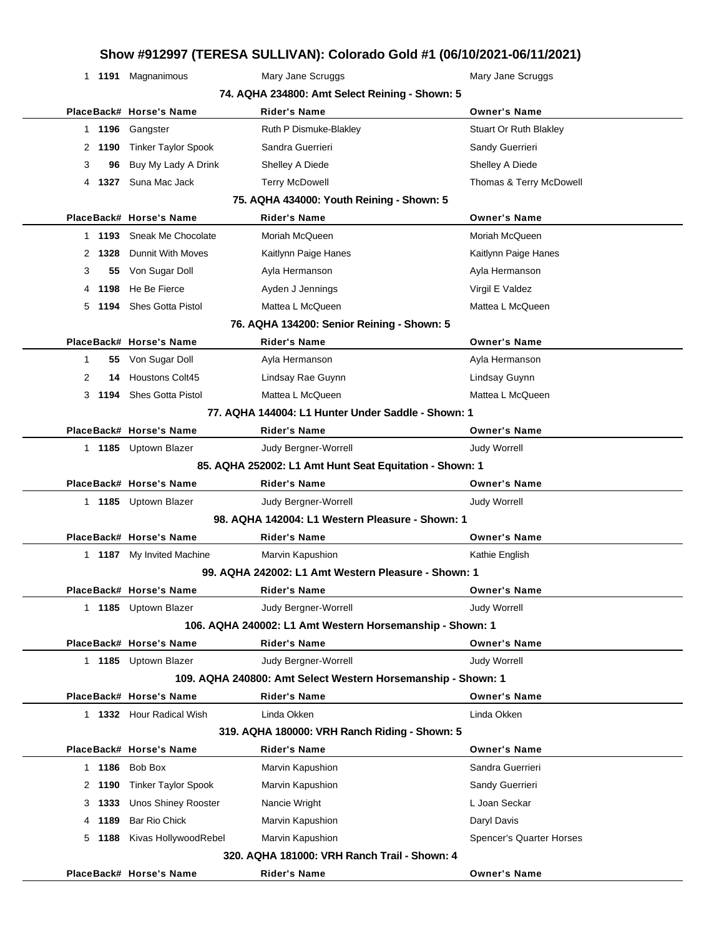#### **Show #912997 (TERESA SULLIVAN): Colorado Gold #1 (06/10/2021-06/11/2021)**

|                                                | 1 1191 Magnanimous           | Mary Jane Scruggs                                            | Mary Jane Scruggs               |  |  |  |  |  |  |
|------------------------------------------------|------------------------------|--------------------------------------------------------------|---------------------------------|--|--|--|--|--|--|
| 74. AQHA 234800: Amt Select Reining - Shown: 5 |                              |                                                              |                                 |  |  |  |  |  |  |
|                                                | PlaceBack# Horse's Name      | <b>Rider's Name</b>                                          | <b>Owner's Name</b>             |  |  |  |  |  |  |
|                                                | 1 1196 Gangster              | Ruth P Dismuke-Blakley                                       | Stuart Or Ruth Blakley          |  |  |  |  |  |  |
|                                                | 2 1190 Tinker Taylor Spook   | Sandra Guerrieri                                             | Sandy Guerrieri                 |  |  |  |  |  |  |
| 3                                              | 96 Buy My Lady A Drink       | Shelley A Diede                                              | Shelley A Diede                 |  |  |  |  |  |  |
|                                                | 4 1327 Suna Mac Jack         | <b>Terry McDowell</b>                                        | Thomas & Terry McDowell         |  |  |  |  |  |  |
| 75. AQHA 434000: Youth Reining - Shown: 5      |                              |                                                              |                                 |  |  |  |  |  |  |
|                                                | PlaceBack# Horse's Name      | <b>Rider's Name</b>                                          | <b>Owner's Name</b>             |  |  |  |  |  |  |
|                                                | 1 1193 Sneak Me Chocolate    | Moriah McQueen                                               | Moriah McQueen                  |  |  |  |  |  |  |
| 2 1328                                         | <b>Dunnit With Moves</b>     | Kaitlynn Paige Hanes                                         | Kaitlynn Paige Hanes            |  |  |  |  |  |  |
| 3                                              | 55 Von Sugar Doll            | Ayla Hermanson                                               | Ayla Hermanson                  |  |  |  |  |  |  |
|                                                | 4 1198 He Be Fierce          | Ayden J Jennings                                             | Virgil E Valdez                 |  |  |  |  |  |  |
|                                                | 5 1194 Shes Gotta Pistol     | Mattea L McQueen                                             | Mattea L McQueen                |  |  |  |  |  |  |
|                                                |                              | 76. AQHA 134200: Senior Reining - Shown: 5                   |                                 |  |  |  |  |  |  |
|                                                | PlaceBack# Horse's Name      | <b>Rider's Name</b>                                          | <b>Owner's Name</b>             |  |  |  |  |  |  |
| $\mathbf{1}$                                   | 55 Von Sugar Doll            | Ayla Hermanson                                               | Ayla Hermanson                  |  |  |  |  |  |  |
| 2                                              | 14 Houstons Colt45           | Lindsay Rae Guynn                                            | Lindsay Guynn                   |  |  |  |  |  |  |
|                                                | 3 1194 Shes Gotta Pistol     | Mattea L McQueen                                             | Mattea L McQueen                |  |  |  |  |  |  |
|                                                |                              | 77. AQHA 144004: L1 Hunter Under Saddle - Shown: 1           |                                 |  |  |  |  |  |  |
|                                                | PlaceBack# Horse's Name      | <b>Rider's Name</b>                                          | <b>Owner's Name</b>             |  |  |  |  |  |  |
|                                                | 1 1185 Uptown Blazer         | Judy Bergner-Worrell                                         | <b>Judy Worrell</b>             |  |  |  |  |  |  |
|                                                |                              | 85. AQHA 252002: L1 Amt Hunt Seat Equitation - Shown: 1      |                                 |  |  |  |  |  |  |
|                                                | PlaceBack# Horse's Name      | <b>Rider's Name</b>                                          | <b>Owner's Name</b>             |  |  |  |  |  |  |
|                                                | 1 1185 Uptown Blazer         | Judy Bergner-Worrell                                         | <b>Judy Worrell</b>             |  |  |  |  |  |  |
|                                                |                              | 98. AQHA 142004: L1 Western Pleasure - Shown: 1              |                                 |  |  |  |  |  |  |
|                                                | PlaceBack# Horse's Name      | <b>Rider's Name</b>                                          | <b>Owner's Name</b>             |  |  |  |  |  |  |
|                                                | 1 1187 My Invited Machine    | Marvin Kapushion                                             | Kathie English                  |  |  |  |  |  |  |
|                                                |                              | 99. AQHA 242002: L1 Amt Western Pleasure - Shown: 1          |                                 |  |  |  |  |  |  |
|                                                | PlaceBack# Horse's Name      | Rider's Name                                                 | <b>Owner's Name</b>             |  |  |  |  |  |  |
|                                                | 1 1185 Uptown Blazer         | Judy Bergner-Worrell                                         | <b>Judy Worrell</b>             |  |  |  |  |  |  |
|                                                |                              | 106. AQHA 240002: L1 Amt Western Horsemanship - Shown: 1     |                                 |  |  |  |  |  |  |
|                                                | PlaceBack# Horse's Name      | <b>Rider's Name</b>                                          | <b>Owner's Name</b>             |  |  |  |  |  |  |
|                                                | 1 1185 Uptown Blazer         | Judy Bergner-Worrell                                         | <b>Judy Worrell</b>             |  |  |  |  |  |  |
|                                                |                              | 109. AQHA 240800: Amt Select Western Horsemanship - Shown: 1 |                                 |  |  |  |  |  |  |
|                                                | PlaceBack# Horse's Name      | <b>Rider's Name</b>                                          | <b>Owner's Name</b>             |  |  |  |  |  |  |
|                                                | 1 1332 Hour Radical Wish     | Linda Okken                                                  | Linda Okken                     |  |  |  |  |  |  |
| 319. AQHA 180000: VRH Ranch Riding - Shown: 5  |                              |                                                              |                                 |  |  |  |  |  |  |
|                                                | PlaceBack# Horse's Name      | Rider's Name                                                 | <b>Owner's Name</b>             |  |  |  |  |  |  |
|                                                | 1 1186 Bob Box               | Marvin Kapushion                                             | Sandra Guerrieri                |  |  |  |  |  |  |
| 2 1190                                         | <b>Tinker Taylor Spook</b>   | Marvin Kapushion                                             | Sandy Guerrieri                 |  |  |  |  |  |  |
| 3 1333                                         | <b>Unos Shiney Rooster</b>   | Nancie Wright                                                | L Joan Seckar                   |  |  |  |  |  |  |
| 4 1189                                         | <b>Bar Rio Chick</b>         | Marvin Kapushion                                             | Daryl Davis                     |  |  |  |  |  |  |
|                                                | 5 1188 Kivas Hollywood Rebel | Marvin Kapushion                                             | <b>Spencer's Quarter Horses</b> |  |  |  |  |  |  |
| 320. AQHA 181000: VRH Ranch Trail - Shown: 4   |                              |                                                              |                                 |  |  |  |  |  |  |
|                                                | PlaceBack# Horse's Name      | Rider's Name                                                 | <b>Owner's Name</b>             |  |  |  |  |  |  |
|                                                |                              |                                                              |                                 |  |  |  |  |  |  |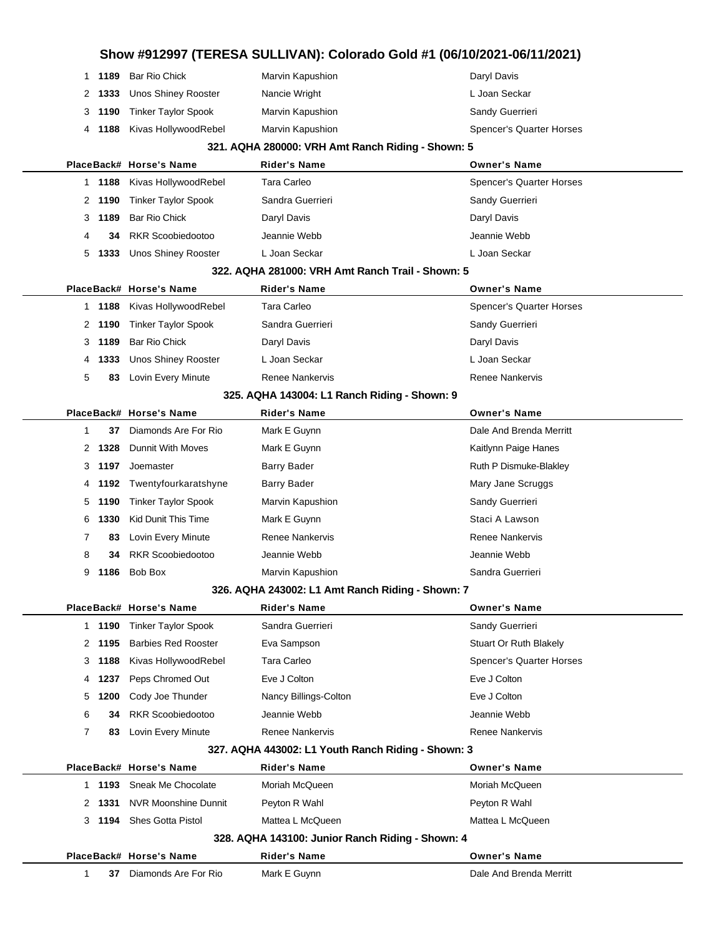### **Show #912997 (TERESA SULLIVAN): Colorado Gold #1 (06/10/2021-06/11/2021) 1189** Bar Rio Chick **Marvin Kapushion** Chick Daryl Davis 2 1333 Unos Shiney Rooster Nancie Wright **Nancie Wright** L Joan Seckar **1190** Tinker Taylor Spook Marvin Kapushion Marvin Kapushion Sandy Guerrieri **1188** Kivas HollywoodRebel Marvin Kapushion Superver's Quarter Horses **321. AQHA 280000: VRH Amt Ranch Riding - Shown: 5 PlaceBack# Horse's Name Rider's Name Owner's Name 1188** Kivas HollywoodRebel Tara Carleo Superversion Spencer's Quarter Horses **1190** Tinker Taylor Spook Sandra Guerrieri Sandy Guerrieri Sandy Guerrieri **1189** Bar Rio Chick Daryl Davis Daryl Davis **34** RKR Scoobiedootoo Jeannie Webb Jeannie Webb **1333** Unos Shiney Rooster L Joan Seckar L Joan Seckar **322. AQHA 281000: VRH Amt Ranch Trail - Shown: 5 PlaceBack# Horse's Name Rider's Name Owner's Name 1188** Kivas HollywoodRebel Tara Carleo Superversion Spencer's Quarter Horses **1190** Tinker Taylor Spook Sandra Guerrieri Sandra Guerrieri Sandy Guerrieri **1189** Bar Rio Chick Daryl Davis Daryl Davis **1333** Unos Shiney Rooster L Joan Seckar L Joan Seckar 5 83 Lovin Every Minute Renee Nankervis **Renee In Accommon Renee Nankervis** Renee Nankervis **325. AQHA 143004: L1 Ranch Riding - Shown: 9 PlaceBack# Horse's Name Rider's Name Owner's Name 37** Diamonds Are For Rio Mark E Guynn **Dale And Brenda Merritt** 2 1328 Dunnit With Moves Mark E Guynn **Mark 1996** Kaitlynn Paige Hanes **1197** Joemaster **Barry Bader** Barry Bader Ruth P Dismuke-Blakley **1192** Twentyfourkaratshyne Barry Bader Mary Jane Scruggs Mary Jane Scruggs **1190** Tinker Taylor Spook Marvin Kapushion Marvin Kapushion Sandy Guerrieri **1330** Kid Dunit This Time Mark E Guynn Staci A Lawson 83 Lovin Every Minute **Renee Nankervis** Renee Nankervis **Renee Nankervis** Renee Nankervis **34** RKR Scoobiedootoo Jeannie Webb Jeannie Webb **1186** Bob Box **Marvin Kapushion** Sandra Guerrieri **326. AQHA 243002: L1 Amt Ranch Riding - Shown: 7 PlaceBack# Horse's Name Rider's Name Owner's Name 1190** Tinker Taylor Spook Sandra Guerrieri Sandra Guerrieri Sandy Guerrieri 2 1195 Barbies Red Rooster **Exa Sampson** Stuart Or Ruth Blakely **1188** Kivas HollywoodRebel Tara Carleo Spencer's Quarter Horses **1237** Peps Chromed Out Eve J Colton Eve J Colton **1200** Cody Joe Thunder **Nancy Billings-Colton Eve J Colton 34** RKR Scoobiedootoo Jeannie Webb Jeannie Webb **83** Lovin Every Minute Renee Nankervis **Renee Nankervis** Renee Nankervis **327. AQHA 443002: L1 Youth Ranch Riding - Shown: 3 PlaceBack# Horse's Name Rider's Name Owner's Name 1193** Sneak Me Chocolate Moriah McQueen Moriah McQueen Moriah McQueen **1331** NVR Moonshine Dunnit Peyton R Wahl Peyton R Wahl Peyton R Wahl **1194** Shes Gotta Pistol Mattea L McQueen Mattea L McQueen Mattea L McQueen **328. AQHA 143100: Junior Ranch Riding - Shown: 4 PlaceBack# Horse's Name Rider's Name Owner's Name 37** Diamonds Are For Rio Mark E Guynn **Dale And Brenda Merritt**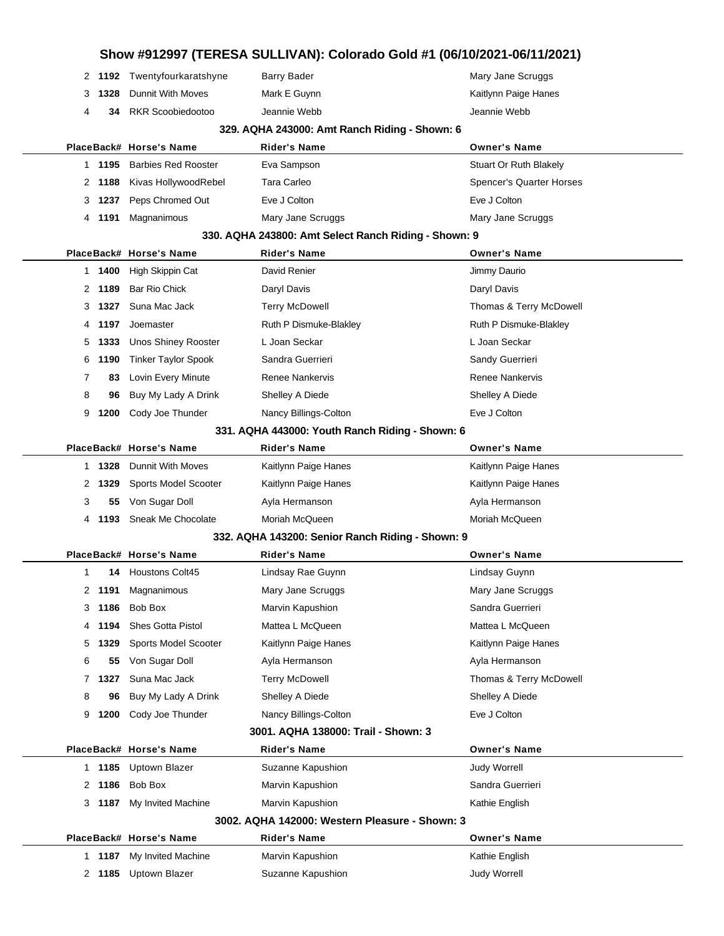| Show #912997 (TERESA SULLIVAN): Colorado Gold #1 (06/10/2021-06/11/2021) |                                     |        |                                      |                                                                         |                                  |  |  |  |  |
|--------------------------------------------------------------------------|-------------------------------------|--------|--------------------------------------|-------------------------------------------------------------------------|----------------------------------|--|--|--|--|
|                                                                          |                                     |        | 2 1192 Twentyfourkaratshyne          | <b>Barry Bader</b>                                                      | Mary Jane Scruggs                |  |  |  |  |
|                                                                          | 3                                   | 1328   | <b>Dunnit With Moves</b>             | Mark E Guynn                                                            | Kaitlynn Paige Hanes             |  |  |  |  |
|                                                                          | 4                                   | 34     | <b>RKR Scoobiedootoo</b>             | Jeannie Webb                                                            | Jeannie Webb                     |  |  |  |  |
| 329. AQHA 243000: Amt Ranch Riding - Shown: 6                            |                                     |        |                                      |                                                                         |                                  |  |  |  |  |
|                                                                          |                                     |        | PlaceBack# Horse's Name              | Rider's Name                                                            | <b>Owner's Name</b>              |  |  |  |  |
|                                                                          |                                     | 1 1195 | <b>Barbies Red Rooster</b>           | Eva Sampson                                                             | <b>Stuart Or Ruth Blakely</b>    |  |  |  |  |
|                                                                          |                                     | 2 1188 | Kivas HollywoodRebel                 | <b>Tara Carleo</b>                                                      | Spencer's Quarter Horses         |  |  |  |  |
|                                                                          | 3                                   | 1237   | Peps Chromed Out                     | Eve J Colton                                                            | Eve J Colton                     |  |  |  |  |
|                                                                          | 4                                   | 1191   | Magnanimous                          | Mary Jane Scruggs                                                       | Mary Jane Scruggs                |  |  |  |  |
| 330. AQHA 243800: Amt Select Ranch Riding - Shown: 9                     |                                     |        |                                      |                                                                         |                                  |  |  |  |  |
|                                                                          |                                     |        | PlaceBack# Horse's Name              | Rider's Name                                                            | <b>Owner's Name</b>              |  |  |  |  |
|                                                                          |                                     | 1 1400 | High Skippin Cat                     | David Renier                                                            | Jimmy Daurio                     |  |  |  |  |
|                                                                          | 2                                   | 1189   | <b>Bar Rio Chick</b>                 | Daryl Davis                                                             | Daryl Davis                      |  |  |  |  |
|                                                                          | 3                                   | 1327   | Suna Mac Jack                        | <b>Terry McDowell</b>                                                   | Thomas & Terry McDowell          |  |  |  |  |
|                                                                          | 4                                   | 1197   | Joemaster                            | Ruth P Dismuke-Blakley                                                  | Ruth P Dismuke-Blakley           |  |  |  |  |
|                                                                          | 5                                   | 1333   | <b>Unos Shiney Rooster</b>           | L Joan Seckar                                                           | L Joan Seckar                    |  |  |  |  |
|                                                                          | 6                                   | 1190   | <b>Tinker Taylor Spook</b>           | Sandra Guerrieri                                                        | Sandy Guerrieri                  |  |  |  |  |
|                                                                          | 7                                   | 83     | Lovin Every Minute                   | <b>Renee Nankervis</b>                                                  | <b>Renee Nankervis</b>           |  |  |  |  |
|                                                                          | 8                                   | 96     | Buy My Lady A Drink                  | Shelley A Diede                                                         | Shelley A Diede                  |  |  |  |  |
|                                                                          | 9                                   | 1200   | Cody Joe Thunder                     | Nancy Billings-Colton                                                   | Eve J Colton                     |  |  |  |  |
|                                                                          |                                     |        |                                      | 331. AQHA 443000: Youth Ranch Riding - Shown: 6                         |                                  |  |  |  |  |
|                                                                          |                                     |        | PlaceBack# Horse's Name              | <b>Rider's Name</b>                                                     | <b>Owner's Name</b>              |  |  |  |  |
|                                                                          |                                     | 1 1328 | Dunnit With Moves                    | Kaitlynn Paige Hanes                                                    | Kaitlynn Paige Hanes             |  |  |  |  |
|                                                                          | 2                                   | 1329   | Sports Model Scooter                 | Kaitlynn Paige Hanes                                                    | Kaitlynn Paige Hanes             |  |  |  |  |
|                                                                          | 3                                   | 55     | Von Sugar Doll<br>Sneak Me Chocolate | Ayla Hermanson<br>Moriah McQueen                                        | Ayla Hermanson<br>Moriah McQueen |  |  |  |  |
|                                                                          | 4                                   | 1193   |                                      |                                                                         |                                  |  |  |  |  |
|                                                                          |                                     |        | PlaceBack# Horse's Name              | 332. AQHA 143200: Senior Ranch Riding - Shown: 9<br><b>Rider's Name</b> | <b>Owner's Name</b>              |  |  |  |  |
|                                                                          | 1                                   | 14     | Houstons Colt45                      | Lindsay Rae Guynn                                                       | Lindsay Guynn                    |  |  |  |  |
|                                                                          |                                     | 2 1191 | Magnanimous                          | Mary Jane Scruggs                                                       | Mary Jane Scruggs                |  |  |  |  |
|                                                                          | 3                                   | 1186   | Bob Box                              | Marvin Kapushion                                                        | Sandra Guerrieri                 |  |  |  |  |
|                                                                          | 4                                   | 1194   | Shes Gotta Pistol                    | Mattea L McQueen                                                        | Mattea L McQueen                 |  |  |  |  |
|                                                                          | 5                                   | 1329   | Sports Model Scooter                 | Kaitlynn Paige Hanes                                                    | Kaitlynn Paige Hanes             |  |  |  |  |
|                                                                          | 6                                   | 55     | Von Sugar Doll                       | Ayla Hermanson                                                          | Ayla Hermanson                   |  |  |  |  |
|                                                                          | 7                                   | 1327   | Suna Mac Jack                        | <b>Terry McDowell</b>                                                   | Thomas & Terry McDowell          |  |  |  |  |
|                                                                          | 8                                   | 96     | Buy My Lady A Drink                  | Shelley A Diede                                                         | Shelley A Diede                  |  |  |  |  |
|                                                                          | 9                                   | 1200   | Cody Joe Thunder                     | Nancy Billings-Colton                                                   | Eve J Colton                     |  |  |  |  |
|                                                                          | 3001. AQHA 138000: Trail - Shown: 3 |        |                                      |                                                                         |                                  |  |  |  |  |
|                                                                          |                                     |        | PlaceBack# Horse's Name              | Rider's Name                                                            | <b>Owner's Name</b>              |  |  |  |  |
|                                                                          | 1.                                  | 1185   | Uptown Blazer                        | Suzanne Kapushion                                                       | <b>Judy Worrell</b>              |  |  |  |  |
|                                                                          |                                     | 2 1186 | Bob Box                              | Marvin Kapushion                                                        | Sandra Guerrieri                 |  |  |  |  |
|                                                                          | 3.                                  | 1187   | My Invited Machine                   | Marvin Kapushion                                                        | Kathie English                   |  |  |  |  |
| 3002. AQHA 142000: Western Pleasure - Shown: 3                           |                                     |        |                                      |                                                                         |                                  |  |  |  |  |
|                                                                          |                                     |        | PlaceBack# Horse's Name              | <b>Rider's Name</b>                                                     | <b>Owner's Name</b>              |  |  |  |  |
|                                                                          |                                     | 1 1187 | My Invited Machine                   | Marvin Kapushion                                                        | Kathie English                   |  |  |  |  |
|                                                                          | 2                                   | 1185   | Uptown Blazer                        | Suzanne Kapushion                                                       | <b>Judy Worrell</b>              |  |  |  |  |
|                                                                          |                                     |        |                                      |                                                                         |                                  |  |  |  |  |